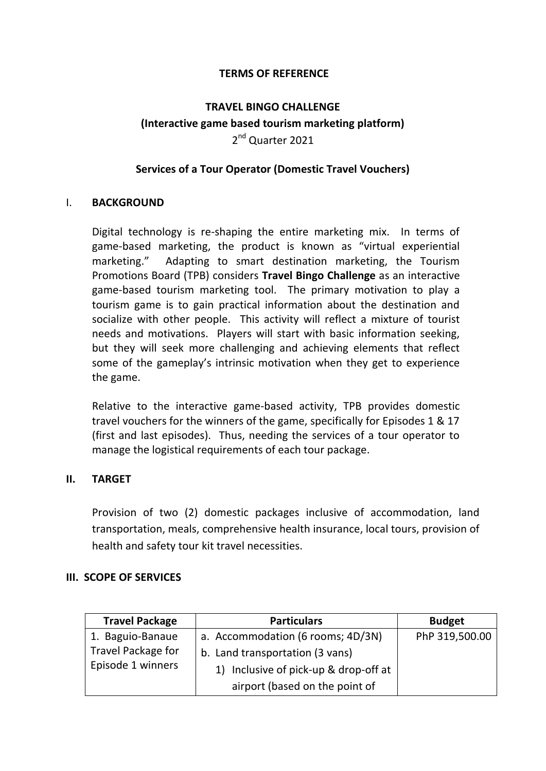### **TERMS OF REFERENCE**

# **TRAVEL BINGO CHALLENGE (Interactive game based tourism marketing platform)** 2<sup>nd</sup> Quarter 2021

## **Services of a Tour Operator (Domestic Travel Vouchers)**

### I. **BACKGROUND**

Digital technology is re-shaping the entire marketing mix. In terms of game-based marketing, the product is known as "virtual experiential marketing." Adapting to smart destination marketing, the Tourism Promotions Board (TPB) considers **Travel Bingo Challenge** as an interactive game-based tourism marketing tool. The primary motivation to play a tourism game is to gain practical information about the destination and socialize with other people. This activity will reflect a mixture of tourist needs and motivations. Players will start with basic information seeking, but they will seek more challenging and achieving elements that reflect some of the gameplay's intrinsic motivation when they get to experience the game.

Relative to the interactive game-based activity, TPB provides domestic travel vouchers for the winners of the game, specifically for Episodes 1 & 17 (first and last episodes). Thus, needing the services of a tour operator to manage the logistical requirements of each tour package.

### **II. TARGET**

Provision of two (2) domestic packages inclusive of accommodation, land transportation, meals, comprehensive health insurance, local tours, provision of health and safety tour kit travel necessities.

### **III. SCOPE OF SERVICES**

| <b>Travel Package</b>                          | <b>Particulars</b>                    | <b>Budget</b>  |
|------------------------------------------------|---------------------------------------|----------------|
| 1. Baguio-Banaue                               | a. Accommodation (6 rooms; 4D/3N)     | PhP 319,500.00 |
| <b>Travel Package for</b><br>Episode 1 winners | b. Land transportation (3 vans)       |                |
|                                                | 1) Inclusive of pick-up & drop-off at |                |
|                                                | airport (based on the point of        |                |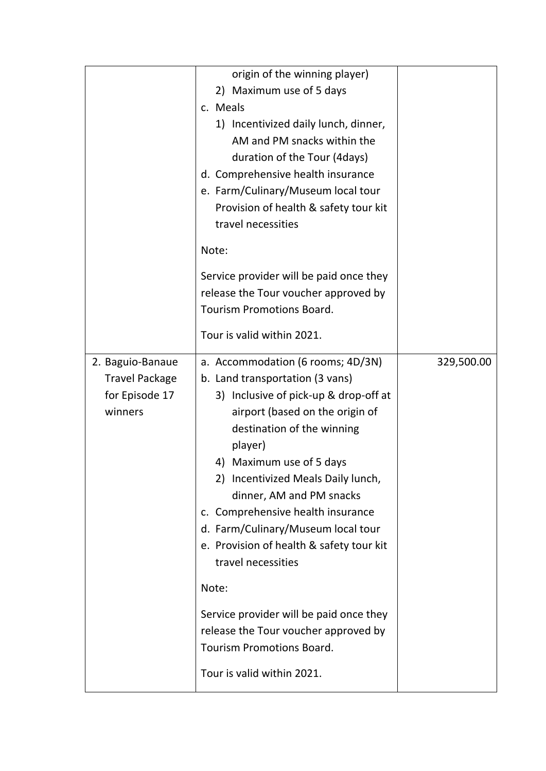|                                                                        | origin of the winning player)<br>2) Maximum use of 5 days<br>c. Meals<br>1) Incentivized daily lunch, dinner,<br>AM and PM snacks within the<br>duration of the Tour (4days)<br>d. Comprehensive health insurance<br>e. Farm/Culinary/Museum local tour<br>Provision of health & safety tour kit                                                                                                                                                                                                                                                                                                   |            |
|------------------------------------------------------------------------|----------------------------------------------------------------------------------------------------------------------------------------------------------------------------------------------------------------------------------------------------------------------------------------------------------------------------------------------------------------------------------------------------------------------------------------------------------------------------------------------------------------------------------------------------------------------------------------------------|------------|
|                                                                        | travel necessities<br>Note:                                                                                                                                                                                                                                                                                                                                                                                                                                                                                                                                                                        |            |
|                                                                        | Service provider will be paid once they<br>release the Tour voucher approved by<br><b>Tourism Promotions Board.</b>                                                                                                                                                                                                                                                                                                                                                                                                                                                                                |            |
|                                                                        | Tour is valid within 2021.                                                                                                                                                                                                                                                                                                                                                                                                                                                                                                                                                                         |            |
| 2. Baguio-Banaue<br><b>Travel Package</b><br>for Episode 17<br>winners | a. Accommodation (6 rooms; 4D/3N)<br>b. Land transportation (3 vans)<br>3) Inclusive of pick-up & drop-off at<br>airport (based on the origin of<br>destination of the winning<br>player)<br>4) Maximum use of 5 days<br>2) Incentivized Meals Daily lunch,<br>dinner, AM and PM snacks<br>c. Comprehensive health insurance<br>d. Farm/Culinary/Museum local tour<br>e. Provision of health & safety tour kit<br>travel necessities<br>Note:<br>Service provider will be paid once they<br>release the Tour voucher approved by<br><b>Tourism Promotions Board.</b><br>Tour is valid within 2021. | 329,500.00 |